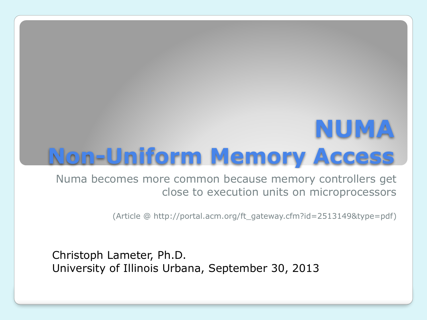## **NUMA Non-Uniform Memory Access**

Numa becomes more common because memory controllers get close to execution units on microprocessors

(Article @ http://portal.acm.org/ft\_gateway.cfm?id=2513149&type=pdf)

Christoph Lameter, Ph.D. University of Illinois Urbana, September 30, 2013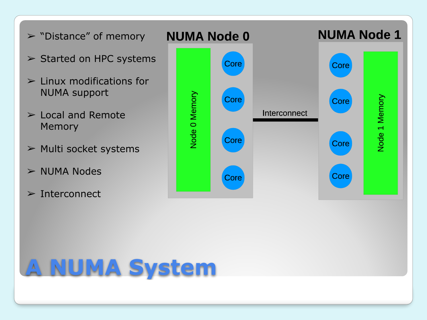

# **A NUMA System**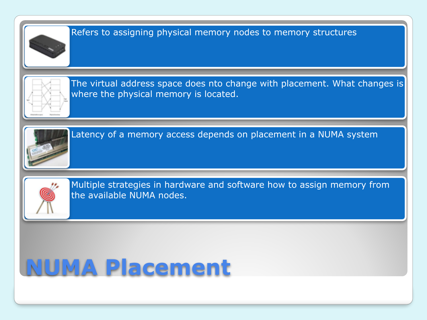

## **NUMA Placement**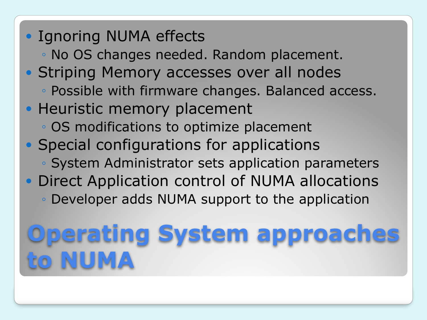- Ignoring NUMA effects
	- No OS changes needed. Random placement.
- Striping Memory accesses over all nodes
	- Possible with firmware changes. Balanced access.
- Heuristic memory placement
	- OS modifications to optimize placement
- Special configurations for applications
	- System Administrator sets application parameters
- Direct Application control of NUMA allocations
	- Developer adds NUMA support to the application

# **Operating System approaches to NUMA**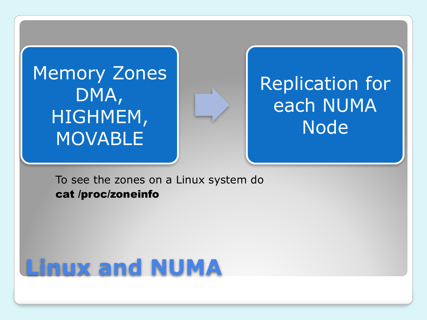#### Memory Zones DMA, HIGHMEM, **MOVABLE**

#### Replication for each NUMA **Node**

To see the zones on a Linux system do cat /proc/zoneinfo

## **Linux and NUMA**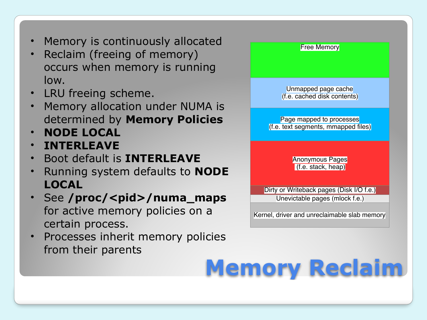- Memory is continuously allocated
- Reclaim (freeing of memory) occurs when memory is running low.
- LRU freeing scheme.
- Memory allocation under NUMA is determined by **Memory Policies**
- **NODE LOCAL**
- **INTERLEAVE**
- Boot default is **INTERLEAVE**
- Running system defaults to **NODE LOCAL**
- See /proc/<pid>/numa\_maps for active memory policies on a certain process.
- Processes inherit memory policies from their parents



## **Memory Reclaim**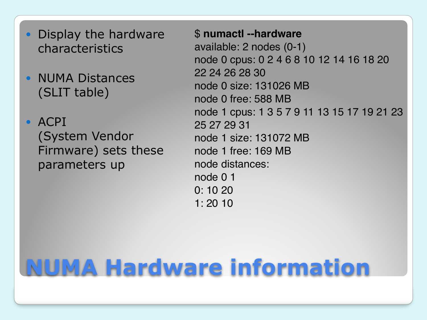- Display the hardware characteristics
- NUMA Distances (SLIT table)
- $\bullet$  ACPI (System Vendor Firmware) sets these parameters up

\$ **numactl --hardware** available: 2 nodes (0-1) node 0 cpus: 0 2 4 6 8 10 12 14 16 18 20 22 24 26 28 30 node 0 size: 131026 MB node 0 free: 588 MB node 1 cpus: 1 3 5 7 9 11 13 15 17 19 21 23 25 27 29 31 node 1 size: 131072 MB node 1 free: 169 MB node distances: node 0 1 0: 10 20 1: 20 10

## **NUMA Hardware information**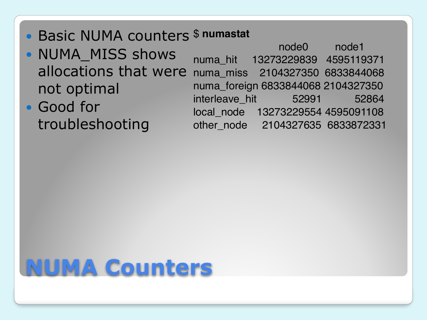- Basic NUMA counters \$ **numastat**
- NUMA MISS shows allocations that were not optimal
- Good for troubleshooting

node0 node1 numa\_hit 13273229839 4595119371 numa\_miss 2104327350 6833844068 numa\_foreign 6833844068 2104327350 interleave hit 52991 52864 local\_node 13273229554 4595091108 other\_node 2104327635 6833872331

### **NUMA Counters**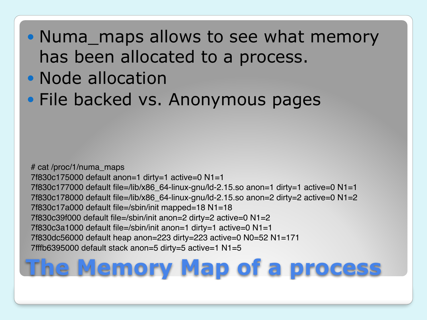#### • Numa\_maps allows to see what memory has been allocated to a process.

- Node allocation
- File backed vs. Anonymous pages

# cat /proc/1/numa\_maps 7f830c175000 default anon=1 dirty=1 active=0 N1=1 7f830c177000 default file=/lib/x86 64-linux-gnu/ld-2.15.so anon=1 dirty=1 active=0 N1=1 7f830c178000 default file=/lib/x86\_64-linux-gnu/ld-2.15.so anon=2 dirty=2 active=0 N1=2 7f830c17a000 default file=/sbin/init mapped=18 N1=18 7f830c39f000 default file=/sbin/init anon=2 dirty=2 active=0 N1=2 7f830c3a1000 default file=/sbin/init anon=1 dirty=1 active=0 N1=1 7f830dc56000 default heap anon=223 dirty=223 active=0 N0=52 N1=171 7fffb6395000 default stack anon=5 dirty=5 active=1 N1=5

## **The Memory Map of a process**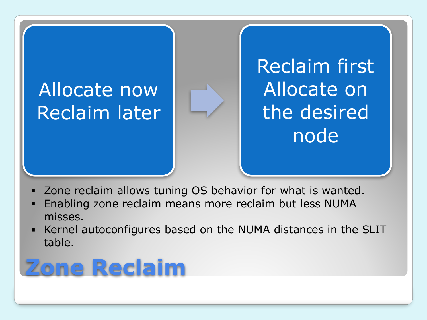#### Allocate now Reclaim later



Reclaim first Allocate on the desired node

- Zone reclaim allows tuning OS behavior for what is wanted.
- Enabling zone reclaim means more reclaim but less NUMA misses.
- Kernel autoconfigures based on the NUMA distances in the SLIT table.

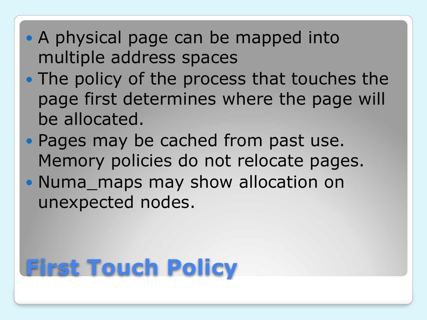- A physical page can be mapped into multiple address spaces
- The policy of the process that touches the page first determines where the page will be allocated.
- Pages may be cached from past use. Memory policies do not relocate pages.
- Numa\_maps may show allocation on unexpected nodes.

# **First Touch Policy**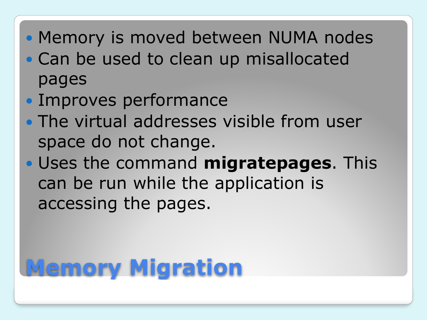- Memory is moved between NUMA nodes
- Can be used to clean up misallocated pages
- Improves performance
- The virtual addresses visible from user space do not change.
- Uses the command **migratepages**. This can be run while the application is accessing the pages.

# **Memory Migration**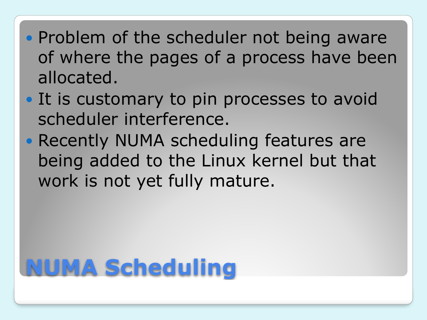- Problem of the scheduler not being aware of where the pages of a process have been allocated.
- It is customary to pin processes to avoid scheduler interference.
- Recently NUMA scheduling features are being added to the Linux kernel but that work is not yet fully mature.

# **NUMA Scheduling**